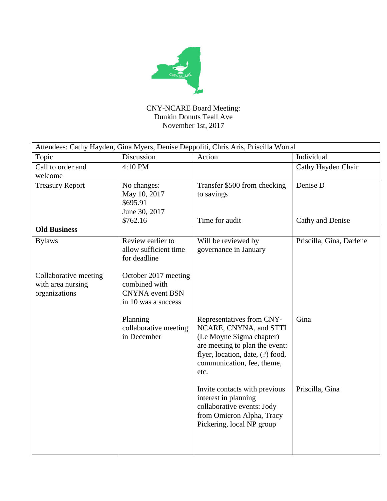

CNY-NCARE Board Meeting: Dunkin Donuts Teall Ave November 1st, 2017

| Attendees: Cathy Hayden, Gina Myers, Denise Deppoliti, Chris Aris, Priscilla Worral |                                                                                        |                                                                                                                                                                                             |                          |  |  |
|-------------------------------------------------------------------------------------|----------------------------------------------------------------------------------------|---------------------------------------------------------------------------------------------------------------------------------------------------------------------------------------------|--------------------------|--|--|
| Topic                                                                               | Discussion                                                                             | Action                                                                                                                                                                                      | Individual               |  |  |
| Call to order and<br>welcome                                                        | 4:10 PM                                                                                |                                                                                                                                                                                             | Cathy Hayden Chair       |  |  |
| <b>Treasury Report</b>                                                              | No changes:<br>May 10, 2017<br>\$695.91<br>June 30, 2017                               | Transfer \$500 from checking<br>to savings                                                                                                                                                  | Denise D                 |  |  |
|                                                                                     | \$762.16                                                                               | Time for audit                                                                                                                                                                              | Cathy and Denise         |  |  |
| <b>Old Business</b>                                                                 |                                                                                        |                                                                                                                                                                                             |                          |  |  |
| <b>Bylaws</b>                                                                       | Review earlier to<br>allow sufficient time<br>for deadline                             | Will be reviewed by<br>governance in January                                                                                                                                                | Priscilla, Gina, Darlene |  |  |
| Collaborative meeting<br>with area nursing<br>organizations                         | October 2017 meeting<br>combined with<br><b>CNYNA</b> event BSN<br>in 10 was a success |                                                                                                                                                                                             |                          |  |  |
|                                                                                     | Planning<br>collaborative meeting<br>in December                                       | Representatives from CNY-<br>NCARE, CNYNA, and STTI<br>(Le Moyne Sigma chapter)<br>are meeting to plan the event:<br>flyer, location, date, (?) food,<br>communication, fee, theme,<br>etc. | Gina                     |  |  |
|                                                                                     |                                                                                        | Invite contacts with previous<br>interest in planning<br>collaborative events: Jody<br>from Omicron Alpha, Tracy<br>Pickering, local NP group                                               | Priscilla, Gina          |  |  |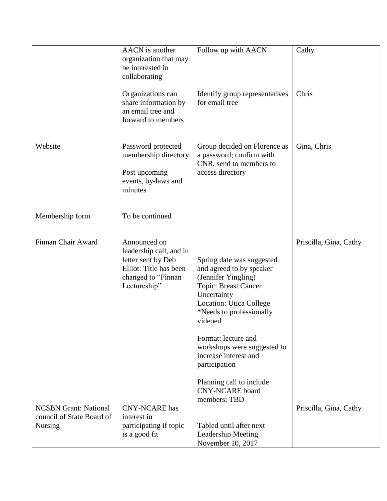|                                                           | <b>AACN</b> is another<br>organization that may<br>be interested in<br>collaborating                                          | Follow up with AACN                                                                                                                                                                                 | Cathy                  |
|-----------------------------------------------------------|-------------------------------------------------------------------------------------------------------------------------------|-----------------------------------------------------------------------------------------------------------------------------------------------------------------------------------------------------|------------------------|
|                                                           | Organizations can<br>share information by<br>an email tree and<br>forward to members                                          | Identify group representatives<br>for email tree                                                                                                                                                    | Chris                  |
| Website                                                   | Password protected<br>membership directory<br>Post upcoming<br>events, by-laws and<br>minutes                                 | Group decided on Florence as<br>a password; confirm with<br>CNR, send to members to<br>access directory                                                                                             | Gina, Chris            |
| Membership form                                           | To be continued                                                                                                               |                                                                                                                                                                                                     |                        |
| Finnan Chair Award                                        | Announced on<br>leadership call, and in<br>letter sent by Deb<br>Elliot: Title has been<br>changed to "Finnan<br>Lectureship" | Spring date was suggested<br>and agreed to by speaker<br>(Jennifer Yingling)<br><b>Topic: Breast Cancer</b><br>Uncertainty<br><b>Location: Utica College</b><br>*Needs to professionally<br>videoed | Priscilla, Gina, Cathy |
|                                                           |                                                                                                                               | Format: lecture and<br>workshops were suggested to<br>increase interest and<br>participation                                                                                                        |                        |
| <b>NCSBN Grant: National</b><br>council of State Board of | <b>CNY-NCARE</b> has<br>interest in                                                                                           | Planning call to include<br><b>CNY-NCARE</b> board<br>members; TBD                                                                                                                                  | Priscilla, Gina, Cathy |
| <b>Nursing</b>                                            | participating if topic<br>is a good fit                                                                                       | Tabled until after next<br><b>Leadership Meeting</b><br>November 10, 2017                                                                                                                           |                        |